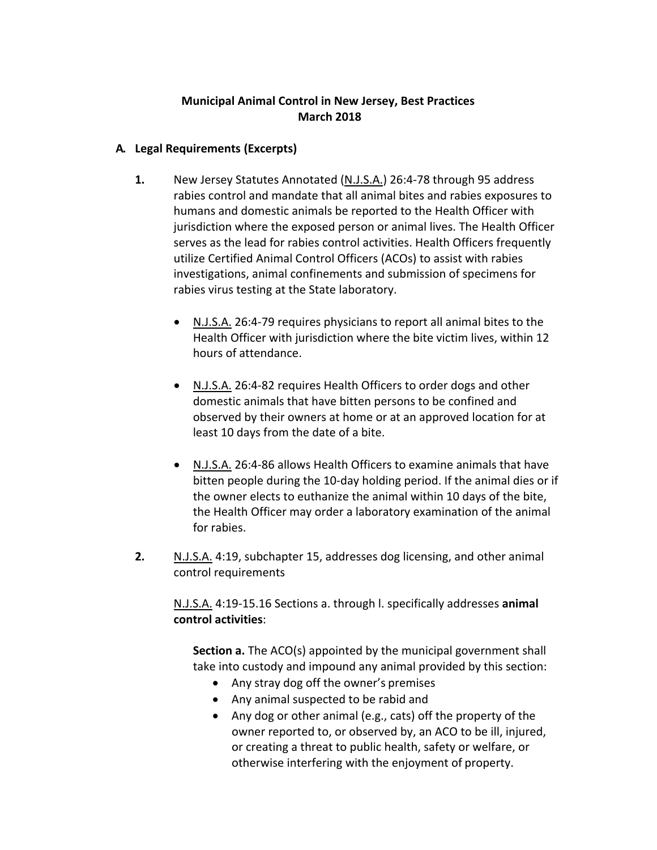## **Municipal Animal Control in New Jersey, Best Practices March 2018**

## **A. Legal Requirements (Excerpts)**

- **1.** New Jersey Statutes Annotated (N.J.S.A.) 26:4-78 through 95 address rabies control and mandate that all animal bites and rabies exposures to humans and domestic animals be reported to the Health Officer with jurisdiction where the exposed person or animal lives. The Health Officer serves as the lead for rabies control activities. Health Officers frequently utilize Certified Animal Control Officers (ACOs) to assist with rabies investigations, animal confinements and submission of specimens for rabies virus testing at the State laboratory.
	- N.J.S.A. 26:4-79 requires physicians to report all animal bites to the Health Officer with jurisdiction where the bite victim lives, within 12 hours of attendance.
	- N.J.S.A. 26:4-82 requires Health Officers to order dogs and other domestic animals that have bitten persons to be confined and observed by their owners at home or at an approved location for at least 10 days from the date of a bite.
	- N.J.S.A. 26:4-86 allows Health Officers to examine animals that have bitten people during the 10-day holding period. If the animal dies or if the owner elects to euthanize the animal within 10 days of the bite, the Health Officer may order a laboratory examination of the animal for rabies.
- **2.** N.J.S.A. 4:19, subchapter 15, addresses dog licensing, and other animal control requirements

N.J.S.A. 4:19-15.16 Sections a. through l. specifically addresses **animal control activities**:

**Section a.** The ACO(s) appointed by the municipal government shall take into custody and impound any animal provided by this section:

- Any stray dog off the owner's premises
- Any animal suspected to be rabid and
- Any dog or other animal (e.g., cats) off the property of the owner reported to, or observed by, an ACO to be ill, injured, or creating a threat to public health, safety or welfare, or otherwise interfering with the enjoyment of property.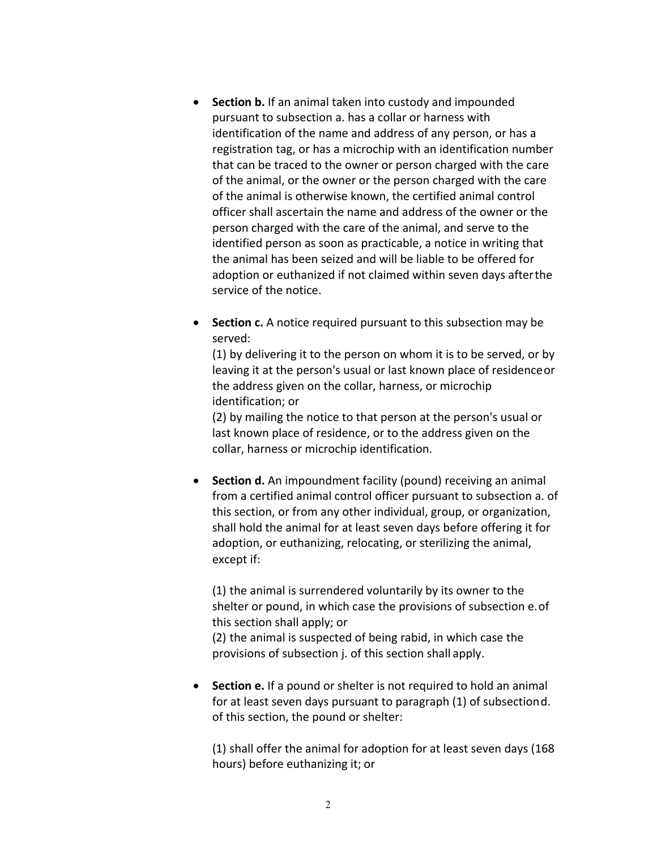- **Section b.** If an animal taken into custody and impounded pursuant to subsection a. has a collar or harness with identification of the name and address of any person, or has a registration tag, or has a microchip with an identification number that can be traced to the owner or person charged with the care of the animal, or the owner or the person charged with the care of the animal is otherwise known, the certified animal control officer shall ascertain the name and address of the owner or the person charged with the care of the animal, and serve to the identified person as soon as practicable, a notice in writing that the animal has been seized and will be liable to be offered for adoption or euthanized if not claimed within seven days afterthe service of the notice.
- **Section c.** A notice required pursuant to this subsection may be served:

(1) by delivering it to the person on whom it is to be served, or by leaving it at the person's usual or last known place of residenceor the address given on the collar, harness, or microchip identification; or

(2) by mailing the notice to that person at the person's usual or last known place of residence, or to the address given on the collar, harness or microchip identification.

• **Section d.** An impoundment facility (pound) receiving an animal from a certified animal control officer pursuant to subsection a. of this section, or from any other individual, group, or organization, shall hold the animal for at least seven days before offering it for adoption, or euthanizing, relocating, or sterilizing the animal, except if:

(1) the animal is surrendered voluntarily by its owner to the shelter or pound, in which case the provisions of subsection e.of this section shall apply; or

(2) the animal is suspected of being rabid, in which case the provisions of subsection j. of this section shall apply.

• **Section e.** If a pound or shelter is not required to hold an animal for at least seven days pursuant to paragraph (1) of subsectiond. of this section, the pound or shelter:

(1) shall offer the animal for adoption for at least seven days (168 hours) before euthanizing it; or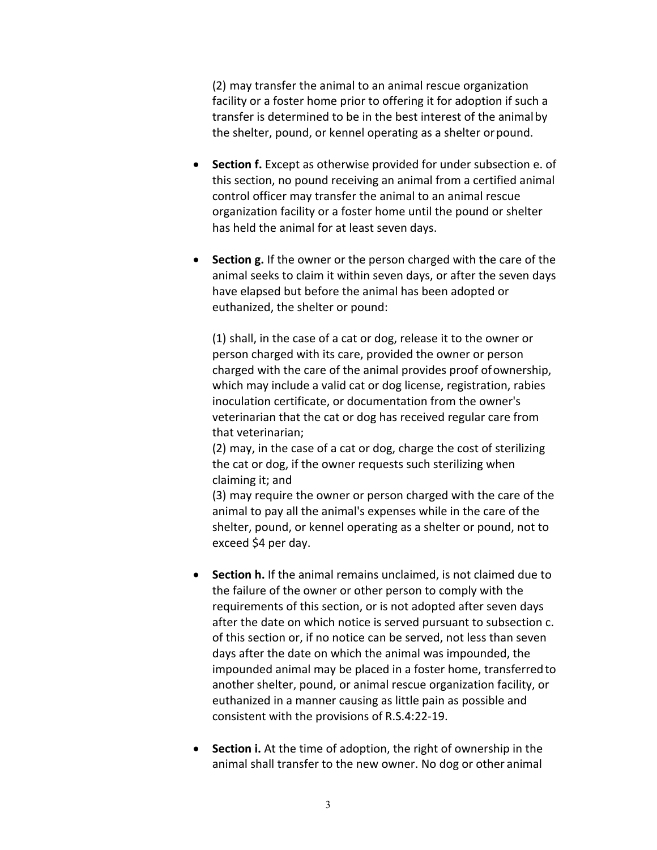(2) may transfer the animal to an animal rescue organization facility or a foster home prior to offering it for adoption if such a transfer is determined to be in the best interest of the animalby the shelter, pound, or kennel operating as a shelter orpound.

- **Section f.** Except as otherwise provided for under subsection e. of this section, no pound receiving an animal from a certified animal control officer may transfer the animal to an animal rescue organization facility or a foster home until the pound or shelter has held the animal for at least seven days.
- **Section g.** If the owner or the person charged with the care of the animal seeks to claim it within seven days, or after the seven days have elapsed but before the animal has been adopted or euthanized, the shelter or pound:

(1) shall, in the case of a cat or dog, release it to the owner or person charged with its care, provided the owner or person charged with the care of the animal provides proof ofownership, which may include a valid cat or dog license, registration, rabies inoculation certificate, or documentation from the owner's veterinarian that the cat or dog has received regular care from that veterinarian;

(2) may, in the case of a cat or dog, charge the cost of sterilizing the cat or dog, if the owner requests such sterilizing when claiming it; and

(3) may require the owner or person charged with the care of the animal to pay all the animal's expenses while in the care of the shelter, pound, or kennel operating as a shelter or pound, not to exceed \$4 per day.

- **Section h.** If the animal remains unclaimed, is not claimed due to the failure of the owner or other person to comply with the requirements of this section, or is not adopted after seven days after the date on which notice is served pursuant to subsection c. of this section or, if no notice can be served, not less than seven days after the date on which the animal was impounded, the impounded animal may be placed in a foster home, transferredto another shelter, pound, or animal rescue organization facility, or euthanized in a manner causing as little pain as possible and consistent with the provisions of R.S.4:22-19.
- **Section i.** At the time of adoption, the right of ownership in the animal shall transfer to the new owner. No dog or other animal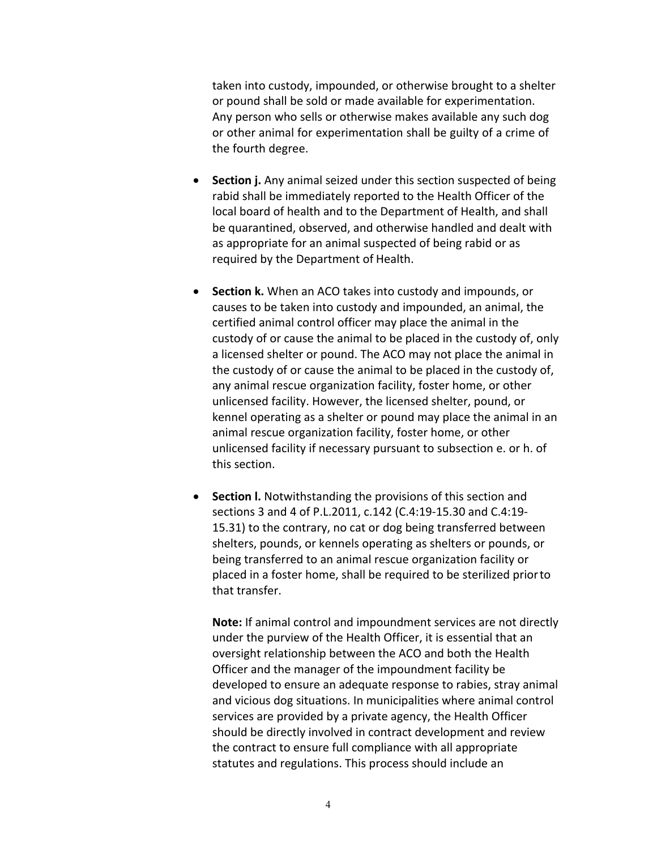taken into custody, impounded, or otherwise brought to a shelter or pound shall be sold or made available for experimentation. Any person who sells or otherwise makes available any such dog or other animal for experimentation shall be guilty of a crime of the fourth degree.

- **Section j.** Any animal seized under this section suspected of being rabid shall be immediately reported to the Health Officer of the local board of health and to the Department of Health, and shall be quarantined, observed, and otherwise handled and dealt with as appropriate for an animal suspected of being rabid or as required by the Department of Health.
- **Section k.** When an ACO takes into custody and impounds, or causes to be taken into custody and impounded, an animal, the certified animal control officer may place the animal in the custody of or cause the animal to be placed in the custody of, only a licensed shelter or pound. The ACO may not place the animal in the custody of or cause the animal to be placed in the custody of, any animal rescue organization facility, foster home, or other unlicensed facility. However, the licensed shelter, pound, or kennel operating as a shelter or pound may place the animal in an animal rescue organization facility, foster home, or other unlicensed facility if necessary pursuant to subsection e. or h. of this section.
- **Section l.** Notwithstanding the provisions of this section and sections 3 and 4 of P.L.2011, c.142 (C.4:19-15.30 and C.4:19- 15.31) to the contrary, no cat or dog being transferred between shelters, pounds, or kennels operating as shelters or pounds, or being transferred to an animal rescue organization facility or placed in a foster home, shall be required to be sterilized priorto that transfer.

**Note:** If animal control and impoundment services are not directly under the purview of the Health Officer, it is essential that an oversight relationship between the ACO and both the Health Officer and the manager of the impoundment facility be developed to ensure an adequate response to rabies, stray animal and vicious dog situations. In municipalities where animal control services are provided by a private agency, the Health Officer should be directly involved in contract development and review the contract to ensure full compliance with all appropriate statutes and regulations. This process should include an